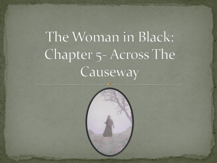# The Woman in Black: Chapter 5- Across The Causeway

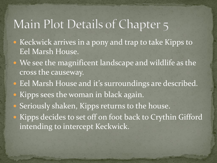## Main Plot Details of Chapter 5

- Keckwick arrives in a pony and trap to take Kipps to Eel Marsh House.
- We see the magnificent landscape and wildlife as the cross the causeway.
- Eel Marsh House and it's surroundings are described. • Kipps sees the woman in black again.
- **Seriously shaken, Kipps returns to the house.**
- Kipps decides to set off on foot back to Crythin Gifford intending to intercept Keckwick.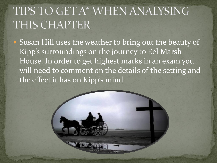## TIPS TO GET A\* WHEN ANALYSING THIS CHAPTER

• Susan Hill uses the weather to bring out the beauty of Kipp's surroundings on the journey to Eel Marsh House. In order to get highest marks in an exam you will need to comment on the details of the setting and the effect it has on Kipp's mind.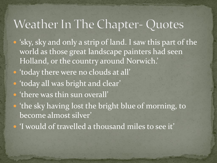## Weather In The Chapter-Quotes

- 'sky, sky and only a strip of land. I saw this part of the world as those great landscape painters had seen Holland, or the country around Norwich.'
- 'today there were no clouds at all'
- 'today all was bright and clear'
- 'there was thin sun overall'
- 'the sky having lost the bright blue of morning, to become almost silver'
- 'I would of travelled a thousand miles to see it'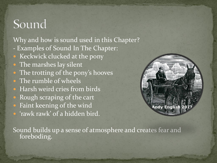#### Sound

Why and how is sound used in this Chapter?

- Examples of Sound In The Chapter:
- Keckwick clucked at the pony
- The marshes lay silent
- The trotting of the pony's hooves
- The rumble of wheels
- Harsh weird cries from birds
- Rough scraping of the cart
- Faint keening of the wind
- 'rawk rawk' of a hidden bird.



Sound builds up a sense of atmosphere and creates fear and foreboding.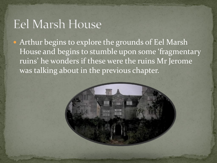#### **Eel Marsh House**

• Arthur begins to explore the grounds of Eel Marsh House and begins to stumble upon some 'fragmentary ruins' he wonders if these were the ruins Mr Jerome was talking about in the previous chapter.

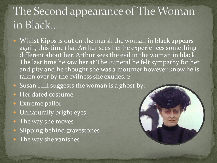# The Second appearance of The Woman in Black...

- Whilst Kipps is out on the marsh the woman in black appears again, this time that Arthur sees her he experiences something different about her. Arthur sees the evil in the woman in black. The last time he saw her at The Funeral he felt sympathy for her and pity and he thought she was a mourner however know he is taken over by the evilness she exudes. S
- Susan Hill suggests the woman is a ghost by:
- Her dated costume
- Extreme pallor
- Unnaturally bright eyes
- The way she moves
- · Slipping behind gravestones
- The way she vanishes